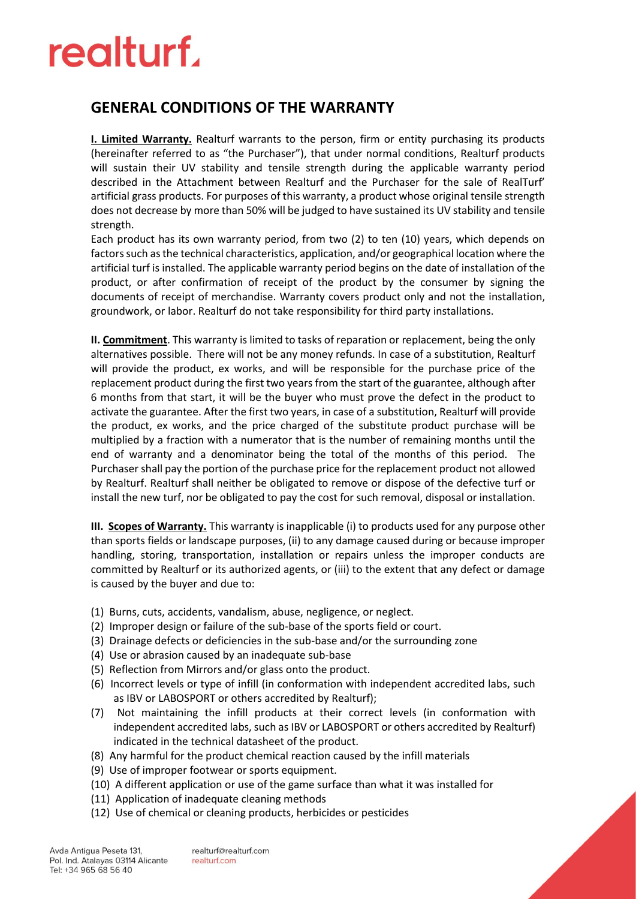# realturf.

#### **GENERAL CONDITIONS OF THE WARRANTY**

**I. Limited Warranty.** Realturf warrants to the person, firm or entity purchasing its products (hereinafter referred to as "the Purchaser"), that under normal conditions, Realturf products will sustain their UV stability and tensile strength during the applicable warranty period described in the Attachment between Realturf and the Purchaser for the sale of RealTurf' artificial grass products. For purposes of this warranty, a product whose original tensile strength does not decrease by more than 50% will be judged to have sustained its UV stability and tensile strength.

Each product has its own warranty period, from two (2) to ten (10) years, which depends on factors such as the technical characteristics, application, and/or geographical location where the artificial turf is installed. The applicable warranty period begins on the date of installation of the product, or after confirmation of receipt of the product by the consumer by signing the documents of receipt of merchandise. Warranty covers product only and not the installation, groundwork, or labor. Realturf do not take responsibility for third party installations.

**II. Commitment**. This warranty is limited to tasks of reparation or replacement, being the only alternatives possible. There will not be any money refunds. In case of a substitution, Realturf will provide the product, ex works, and will be responsible for the purchase price of the replacement product during the first two years from the start of the guarantee, although after 6 months from that start, it will be the buyer who must prove the defect in the product to activate the guarantee. After the first two years, in case of a substitution, Realturf will provide the product, ex works, and the price charged of the substitute product purchase will be multiplied by a fraction with a numerator that is the number of remaining months until the end of warranty and a denominator being the total of the months of this period. The Purchaser shall pay the portion of the purchase price for the replacement product not allowed by Realturf. Realturf shall neither be obligated to remove or dispose of the defective turf or install the new turf, nor be obligated to pay the cost for such removal, disposal or installation.

**III. Scopes of Warranty.** This warranty is inapplicable (i) to products used for any purpose other than sports fields or landscape purposes, (ii) to any damage caused during or because improper handling, storing, transportation, installation or repairs unless the improper conducts are committed by Realturf or its authorized agents, or (iii) to the extent that any defect or damage is caused by the buyer and due to:

- (1) Burns, cuts, accidents, vandalism, abuse, negligence, or neglect.
- (2) Improper design or failure of the sub-base of the sports field or court.
- (3) Drainage defects or deficiencies in the sub-base and/or the surrounding zone
- (4) Use or abrasion caused by an inadequate sub-base
- (5) Reflection from Mirrors and/or glass onto the product.
- (6) Incorrect levels or type of infill (in conformation with independent accredited labs, such as IBV or LABOSPORT or others accredited by Realturf);
- (7) Not maintaining the infill products at their correct levels (in conformation with independent accredited labs, such as IBV or LABOSPORT or others accredited by Realturf) indicated in the technical datasheet of the product.
- (8) Any harmful for the product chemical reaction caused by the infill materials
- (9) Use of improper footwear or sports equipment.
- (10) A different application or use of the game surface than what it was installed for
- (11) Application of inadequate cleaning methods
- (12) Use of chemical or cleaning products, herbicides or pesticides

realturf@realturf.com realturf.com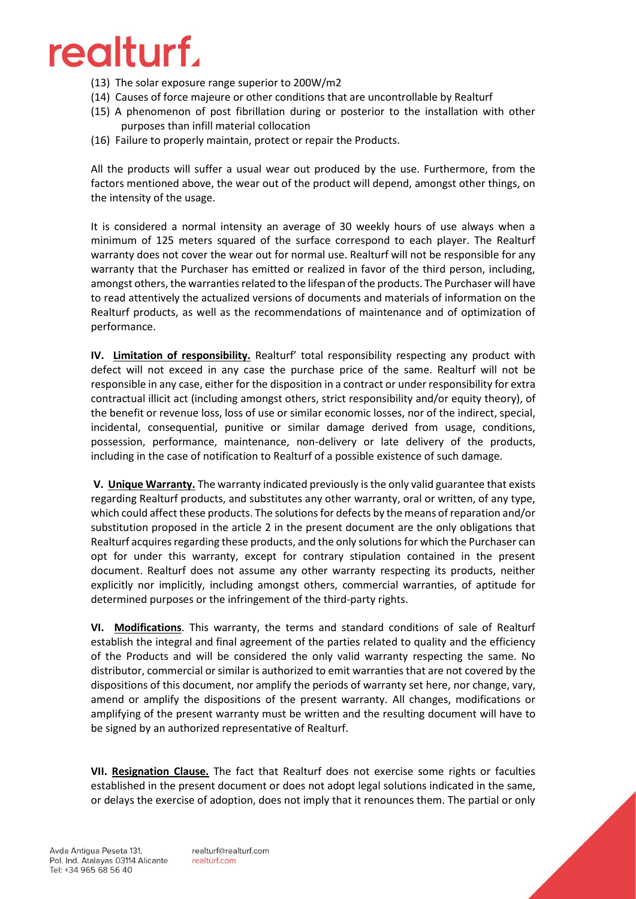## realturf.

- (13) The solar exposure range superior to 200W/m2
- (14) Causes of force majeure or other conditions that are uncontrollable by Realturf
- (15) A phenomenon of post fibrillation during or posterior to the installation with other purposes than infill material collocation
- (16) Failure to properly maintain, protect or repair the Products.

All the products will suffer a usual wear out produced by the use. Furthermore, from the factors mentioned above, the wear out of the product will depend, amongst other things, on the intensity of the usage.

It is considered a normal intensity an average of 30 weekly hours of use always when a minimum of 125 meters squared of the surface correspond to each player. The Realturf warranty does not cover the wear out for normal use. Realturf will not be responsible for any warranty that the Purchaser has emitted or realized in favor of the third person, including, amongst others, the warranties related to the lifespan of the products. The Purchaser will have to read attentively the actualized versions of documents and materials of information on the Realturf products, as well as the recommendations of maintenance and of optimization of performance.

**IV. Limitation of responsibility.** Realturf' total responsibility respecting any product with defect will not exceed in any case the purchase price of the same. Realturf will not be responsible in any case, either for the disposition in a contract or under responsibility for extra contractual illicit act (including amongst others, strict responsibility and/or equity theory), of the benefit or revenue loss, loss of use or similar economic losses, nor of the indirect, special, incidental, consequential, punitive or similar damage derived from usage, conditions, possession, performance, maintenance, non-delivery or late delivery of the products, including in the case of notification to Realturf of a possible existence of such damage.

**V. Unique Warranty.** The warranty indicated previously is the only valid guarantee that exists regarding Realturf products, and substitutes any other warranty, oral or written, of any type, which could affect these products. The solutions for defects by the means of reparation and/or substitution proposed in the article 2 in the present document are the only obligations that Realturf acquires regarding these products, and the only solutions for which the Purchaser can opt for under this warranty, except for contrary stipulation contained in the present document. Realturf does not assume any other warranty respecting its products, neither explicitly nor implicitly, including amongst others, commercial warranties, of aptitude for determined purposes or the infringement of the third-party rights.

**VI. Modifications**. This warranty, the terms and standard conditions of sale of Realturf establish the integral and final agreement of the parties related to quality and the efficiency of the Products and will be considered the only valid warranty respecting the same. No distributor, commercial or similar is authorized to emit warranties that are not covered by the dispositions of this document, nor amplify the periods of warranty set here, nor change, vary, amend or amplify the dispositions of the present warranty. All changes, modifications or amplifying of the present warranty must be written and the resulting document will have to be signed by an authorized representative of Realturf.

**VII. Resignation Clause.** The fact that Realturf does not exercise some rights or faculties established in the present document or does not adopt legal solutions indicated in the same, or delays the exercise of adoption, does not imply that it renounces them. The partial or only

realturf@realturf.com realturf.com